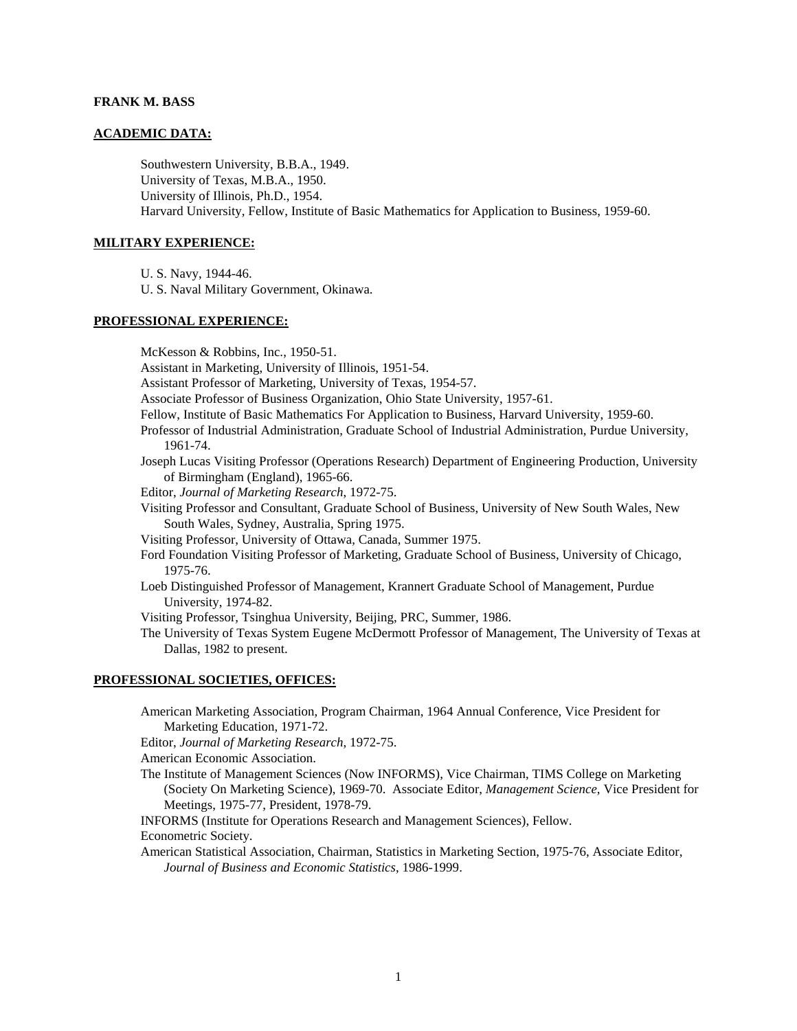### **FRANK M. BASS**

### **ACADEMIC DATA:**

Southwestern University, B.B.A., 1949. University of Texas, M.B.A., 1950. University of Illinois, Ph.D., 1954. Harvard University, Fellow, Institute of Basic Mathematics for Application to Business, 1959-60.

# **MILITARY EXPERIENCE:**

U. S. Navy, 1944-46.

U. S. Naval Military Government, Okinawa.

# **PROFESSIONAL EXPERIENCE:**

McKesson & Robbins, Inc., 1950-51. Assistant in Marketing, University of Illinois, 1951-54. Assistant Professor of Marketing, University of Texas, 1954-57. Associate Professor of Business Organization, Ohio State University, 1957-61. Fellow, Institute of Basic Mathematics For Application to Business, Harvard University, 1959-60. Professor of Industrial Administration, Graduate School of Industrial Administration, Purdue University, 1961-74. Joseph Lucas Visiting Professor (Operations Research) Department of Engineering Production, University of Birmingham (England), 1965-66. Editor, *Journal of Marketing Research*, 1972-75. Visiting Professor and Consultant, Graduate School of Business, University of New South Wales, New South Wales, Sydney, Australia, Spring 1975. Visiting Professor, University of Ottawa, Canada, Summer 1975. Ford Foundation Visiting Professor of Marketing, Graduate School of Business, University of Chicago, 1975-76. Loeb Distinguished Professor of Management, Krannert Graduate School of Management, Purdue University, 1974-82. Visiting Professor, Tsinghua University, Beijing, PRC, Summer, 1986. The University of Texas System Eugene McDermott Professor of Management, The University of Texas at Dallas, 1982 to present.

### **PROFESSIONAL SOCIETIES, OFFICES:**

American Marketing Association, Program Chairman, 1964 Annual Conference, Vice President for Marketing Education, 1971-72. Editor, *Journal of Marketing Research*, 1972-75. American Economic Association. The Institute of Management Sciences (Now INFORMS), Vice Chairman, TIMS College on Marketing (Society On Marketing Science), 1969-70. Associate Editor, *Management Science*, Vice President for Meetings, 1975-77, President, 1978-79.

INFORMS (Institute for Operations Research and Management Sciences), Fellow. Econometric Society.

American Statistical Association, Chairman, Statistics in Marketing Section, 1975-76, Associate Editor, *Journal of Business and Economic Statistics*, 1986-1999.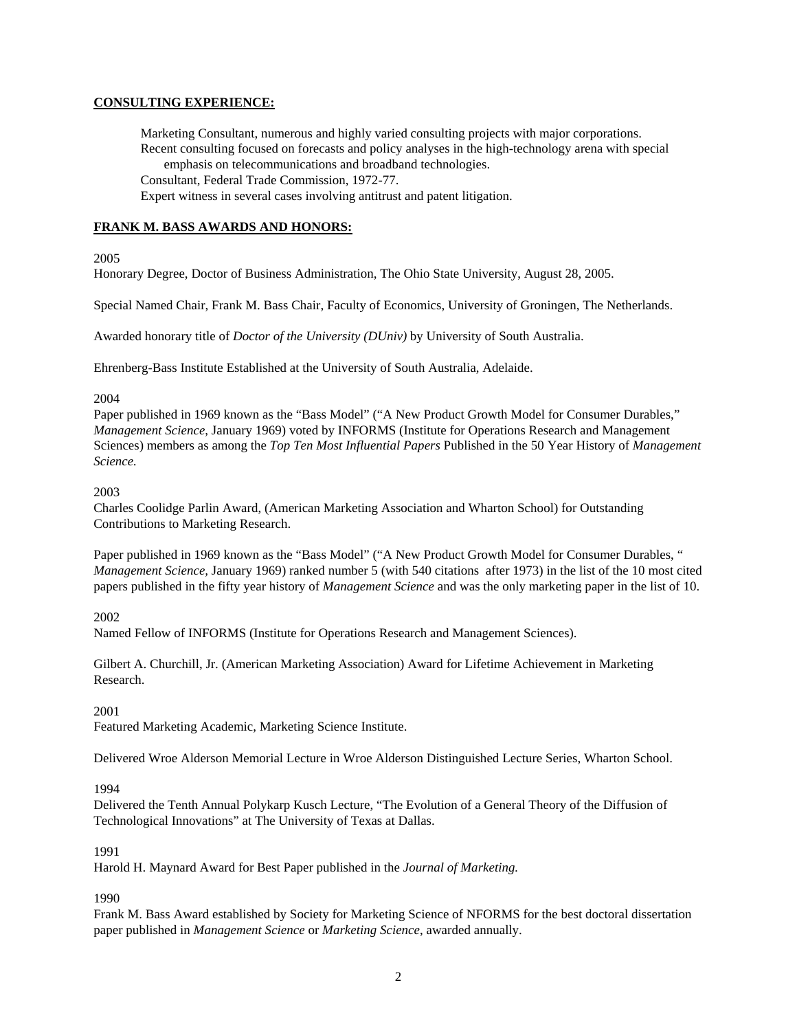# **CONSULTING EXPERIENCE:**

Marketing Consultant, numerous and highly varied consulting projects with major corporations. Recent consulting focused on forecasts and policy analyses in the high-technology arena with special emphasis on telecommunications and broadband technologies. Consultant, Federal Trade Commission, 1972-77. Expert witness in several cases involving antitrust and patent litigation.

# **FRANK M. BASS AWARDS AND HONORS:**

2005

Honorary Degree, Doctor of Business Administration, The Ohio State University, August 28, 2005.

Special Named Chair, Frank M. Bass Chair, Faculty of Economics, University of Groningen, The Netherlands.

Awarded honorary title of *Doctor of the University (DUniv)* by University of South Australia.

Ehrenberg-Bass Institute Established at the University of South Australia, Adelaide.

### 2004

Paper published in 1969 known as the "Bass Model" ("A New Product Growth Model for Consumer Durables," *Management Science*, January 1969) voted by INFORMS (Institute for Operations Research and Management Sciences) members as among the *Top Ten Most Influential Papers* Published in the 50 Year History of *Management Science.*

### 2003

Charles Coolidge Parlin Award, (American Marketing Association and Wharton School) for Outstanding Contributions to Marketing Research.

Paper published in 1969 known as the "Bass Model" ("A New Product Growth Model for Consumer Durables, " *Management Science,* January 1969) ranked number 5 (with 540 citations after 1973) in the list of the 10 most cited papers published in the fifty year history of *Management Science* and was the only marketing paper in the list of 10.

2002

Named Fellow of INFORMS (Institute for Operations Research and Management Sciences).

Gilbert A. Churchill, Jr. (American Marketing Association) Award for Lifetime Achievement in Marketing Research.

2001

Featured Marketing Academic, Marketing Science Institute.

Delivered Wroe Alderson Memorial Lecture in Wroe Alderson Distinguished Lecture Series, Wharton School.

# 1994

Delivered the Tenth Annual Polykarp Kusch Lecture, "The Evolution of a General Theory of the Diffusion of Technological Innovations" at The University of Texas at Dallas.

# 1991

Harold H. Maynard Award for Best Paper published in the *Journal of Marketing.* 

1990

Frank M. Bass Award established by Society for Marketing Science of NFORMS for the best doctoral dissertation paper published in *Management Science* or *Marketing Science*, awarded annually.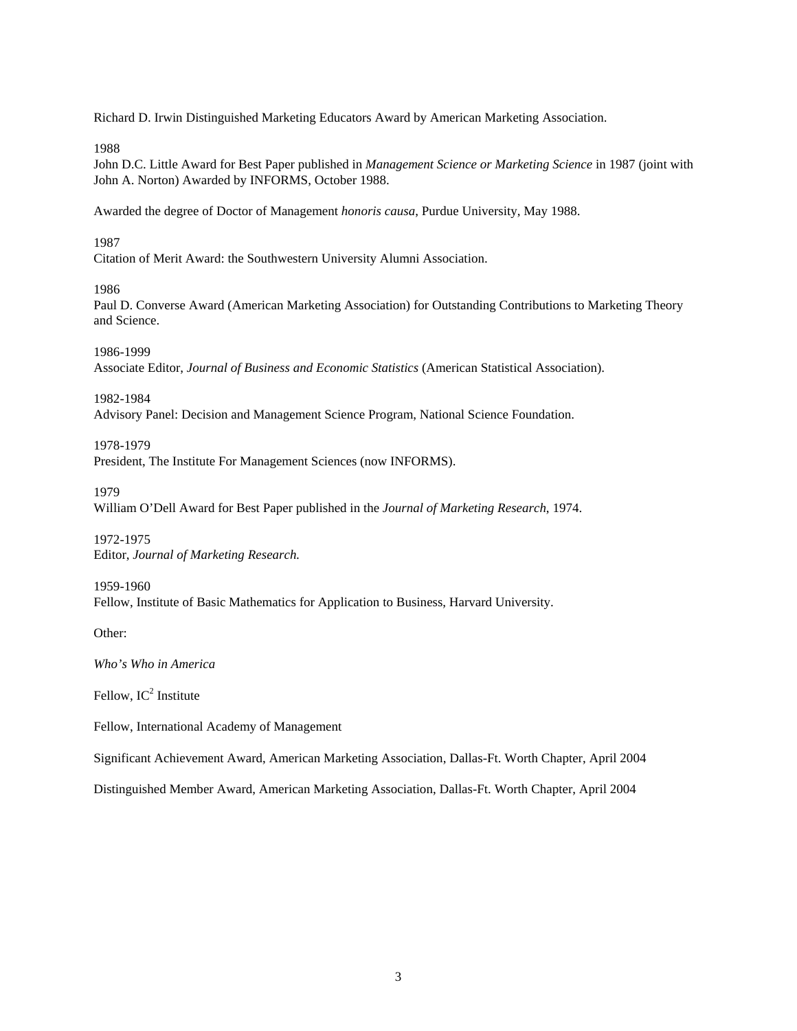Richard D. Irwin Distinguished Marketing Educators Award by American Marketing Association.

1988

John D.C. Little Award for Best Paper published in *Management Science or Marketing Science* in 1987 (joint with John A. Norton) Awarded by INFORMS, October 1988.

Awarded the degree of Doctor of Management *honoris causa*, Purdue University, May 1988.

1987

Citation of Merit Award: the Southwestern University Alumni Association.

1986

Paul D. Converse Award (American Marketing Association) for Outstanding Contributions to Marketing Theory and Science.

1986-1999

Associate Editor, *Journal of Business and Economic Statistics* (American Statistical Association).

1982-1984

Advisory Panel: Decision and Management Science Program, National Science Foundation.

1978-1979

President, The Institute For Management Sciences (now INFORMS).

1979

William O'Dell Award for Best Paper published in the *Journal of Marketing Research*, 1974.

1972-1975 Editor, *Journal of Marketing Research.*

1959-1960 Fellow, Institute of Basic Mathematics for Application to Business, Harvard University.

Other:

*Who's Who in America*

Fellow,  $IC^2$  Institute

Fellow, International Academy of Management

Significant Achievement Award, American Marketing Association, Dallas-Ft. Worth Chapter, April 2004

Distinguished Member Award, American Marketing Association, Dallas-Ft. Worth Chapter, April 2004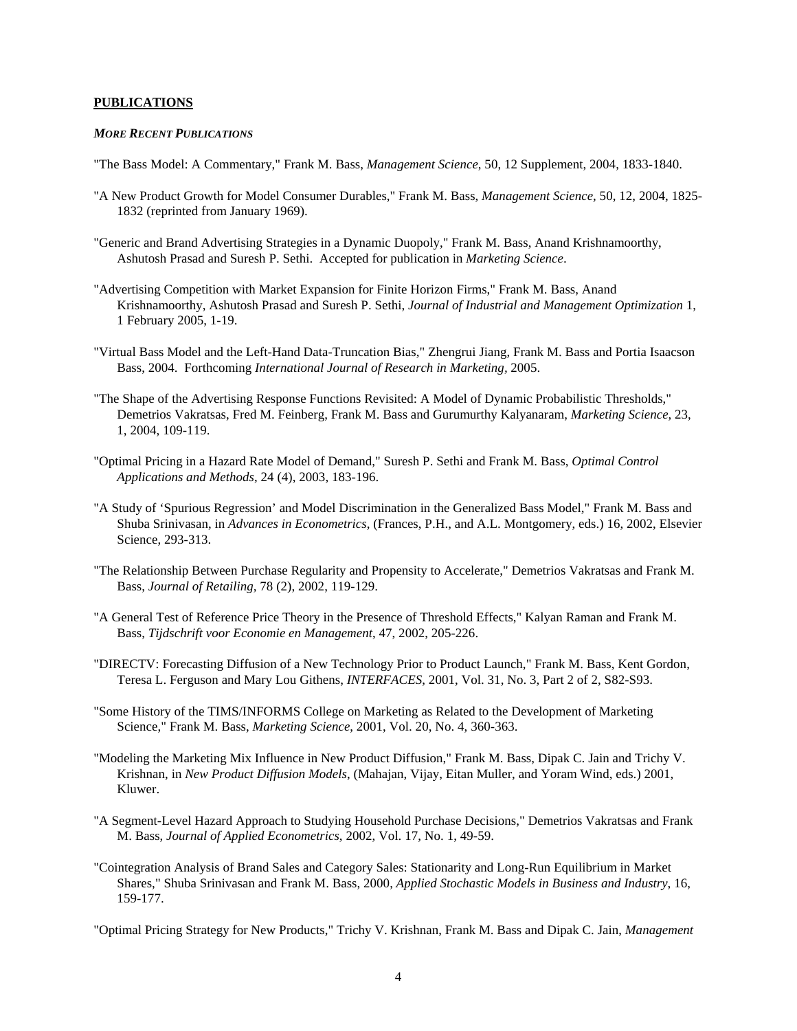### **PUBLICATIONS**

#### *MORE RECENT PUBLICATIONS*

- "The Bass Model: A Commentary," Frank M. Bass, *Management Science*, 50, 12 Supplement, 2004, 1833-1840.
- "A New Product Growth for Model Consumer Durables," Frank M. Bass, *Management Science,* 50, 12, 2004, 1825- 1832 (reprinted from January 1969).
- "Generic and Brand Advertising Strategies in a Dynamic Duopoly," Frank M. Bass, Anand Krishnamoorthy, Ashutosh Prasad and Suresh P. Sethi. Accepted for publication in *Marketing Science*.
- "Advertising Competition with Market Expansion for Finite Horizon Firms," Frank M. Bass, Anand Krishnamoorthy, Ashutosh Prasad and Suresh P. Sethi, *Journal of Industrial and Management Optimization* 1, 1 February 2005, 1-19.
- "Virtual Bass Model and the Left-Hand Data-Truncation Bias," Zhengrui Jiang, Frank M. Bass and Portia Isaacson Bass, 2004. Forthcoming *International Journal of Research in Marketing,* 2005.
- "The Shape of the Advertising Response Functions Revisited: A Model of Dynamic Probabilistic Thresholds," Demetrios Vakratsas, Fred M. Feinberg, Frank M. Bass and Gurumurthy Kalyanaram, *Marketing Science*, 23, 1, 2004, 109-119.
- "Optimal Pricing in a Hazard Rate Model of Demand," Suresh P. Sethi and Frank M. Bass, *Optimal Control Applications and Methods*, 24 (4), 2003, 183-196.
- "A Study of 'Spurious Regression' and Model Discrimination in the Generalized Bass Model," Frank M. Bass and Shuba Srinivasan, in *Advances in Econometrics*, (Frances, P.H., and A.L. Montgomery, eds.) 16, 2002, Elsevier Science, 293-313.
- "The Relationship Between Purchase Regularity and Propensity to Accelerate," Demetrios Vakratsas and Frank M. Bass, *Journal of Retailing,* 78 (2), 2002, 119-129.
- "A General Test of Reference Price Theory in the Presence of Threshold Effects," Kalyan Raman and Frank M. Bass, *Tijdschrift voor Economie en Management*, 47, 2002, 205-226.
- "DIRECTV: Forecasting Diffusion of a New Technology Prior to Product Launch," Frank M. Bass, Kent Gordon, Teresa L. Ferguson and Mary Lou Githens, *INTERFACES*, 2001, Vol. 31, No. 3, Part 2 of 2, S82-S93.
- "Some History of the TIMS/INFORMS College on Marketing as Related to the Development of Marketing Science," Frank M. Bass, *Marketing Science*, 2001, Vol. 20, No. 4, 360-363.
- "Modeling the Marketing Mix Influence in New Product Diffusion," Frank M. Bass, Dipak C. Jain and Trichy V. Krishnan, in *New Product Diffusion Models*, (Mahajan, Vijay, Eitan Muller, and Yoram Wind, eds.) 2001, Kluwer.
- "A Segment-Level Hazard Approach to Studying Household Purchase Decisions," Demetrios Vakratsas and Frank M. Bass, *Journal of Applied Econometrics*, 2002, Vol. 17, No. 1, 49-59.
- "Cointegration Analysis of Brand Sales and Category Sales: Stationarity and Long-Run Equilibrium in Market Shares," Shuba Srinivasan and Frank M. Bass, 2000, *Applied Stochastic Models in Business and Industry*, 16, 159-177.

"Optimal Pricing Strategy for New Products," Trichy V. Krishnan, Frank M. Bass and Dipak C. Jain, *Management*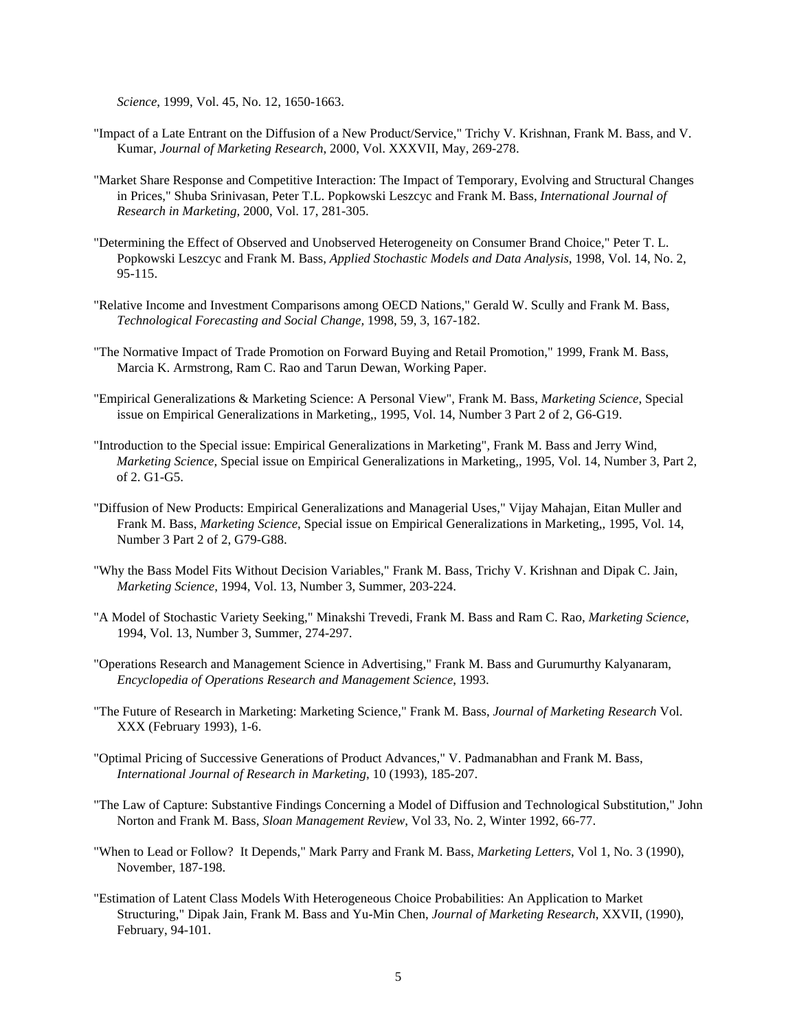*Science*, 1999, Vol. 45, No. 12, 1650-1663.

- "Impact of a Late Entrant on the Diffusion of a New Product/Service," Trichy V. Krishnan, Frank M. Bass, and V. Kumar, *Journal of Marketing Research*, 2000, Vol. XXXVII, May, 269-278.
- "Market Share Response and Competitive Interaction: The Impact of Temporary, Evolving and Structural Changes in Prices," Shuba Srinivasan, Peter T.L. Popkowski Leszcyc and Frank M. Bass, *International Journal of Research in Marketing,* 2000, Vol. 17, 281-305.
- "Determining the Effect of Observed and Unobserved Heterogeneity on Consumer Brand Choice," Peter T. L. Popkowski Leszcyc and Frank M. Bass, *Applied Stochastic Models and Data Analysis*, 1998, Vol. 14, No. 2, 95-115.
- "Relative Income and Investment Comparisons among OECD Nations," Gerald W. Scully and Frank M. Bass, *Technological Forecasting and Social Change,* 1998, 59, 3, 167-182.
- "The Normative Impact of Trade Promotion on Forward Buying and Retail Promotion," 1999, Frank M. Bass, Marcia K. Armstrong, Ram C. Rao and Tarun Dewan, Working Paper.
- "Empirical Generalizations & Marketing Science: A Personal View", Frank M. Bass, *Marketing Science*, Special issue on Empirical Generalizations in Marketing,, 1995, Vol. 14, Number 3 Part 2 of 2, G6-G19.
- "Introduction to the Special issue: Empirical Generalizations in Marketing", Frank M. Bass and Jerry Wind, *Marketing Science,* Special issue on Empirical Generalizations in Marketing,, 1995, Vol. 14, Number 3, Part 2, of 2. G1-G5.
- "Diffusion of New Products: Empirical Generalizations and Managerial Uses," Vijay Mahajan, Eitan Muller and Frank M. Bass, *Marketing Science*, Special issue on Empirical Generalizations in Marketing,, 1995, Vol. 14, Number 3 Part 2 of 2, G79-G88.
- "Why the Bass Model Fits Without Decision Variables," Frank M. Bass, Trichy V. Krishnan and Dipak C. Jain, *Marketing Science*, 1994, Vol. 13, Number 3, Summer, 203-224.
- "A Model of Stochastic Variety Seeking," Minakshi Trevedi, Frank M. Bass and Ram C. Rao, *Marketing Science*, 1994, Vol. 13, Number 3, Summer, 274-297.
- "Operations Research and Management Science in Advertising," Frank M. Bass and Gurumurthy Kalyanaram, *Encyclopedia of Operations Research and Management Science*, 1993.
- "The Future of Research in Marketing: Marketing Science," Frank M. Bass, *Journal of Marketing Research* Vol. XXX (February 1993), 1-6.
- "Optimal Pricing of Successive Generations of Product Advances," V. Padmanabhan and Frank M. Bass, *International Journal of Research in Marketing*, 10 (1993), 185-207.
- "The Law of Capture: Substantive Findings Concerning a Model of Diffusion and Technological Substitution," John Norton and Frank M. Bass, *Sloan Management Review*, Vol 33, No. 2, Winter 1992, 66-77.
- "When to Lead or Follow? It Depends," Mark Parry and Frank M. Bass, *Marketing Letters*, Vol 1, No. 3 (1990), November, 187-198.
- "Estimation of Latent Class Models With Heterogeneous Choice Probabilities: An Application to Market Structuring," Dipak Jain, Frank M. Bass and Yu-Min Chen, *Journal of Marketing Research*, XXVII, (1990), February, 94-101.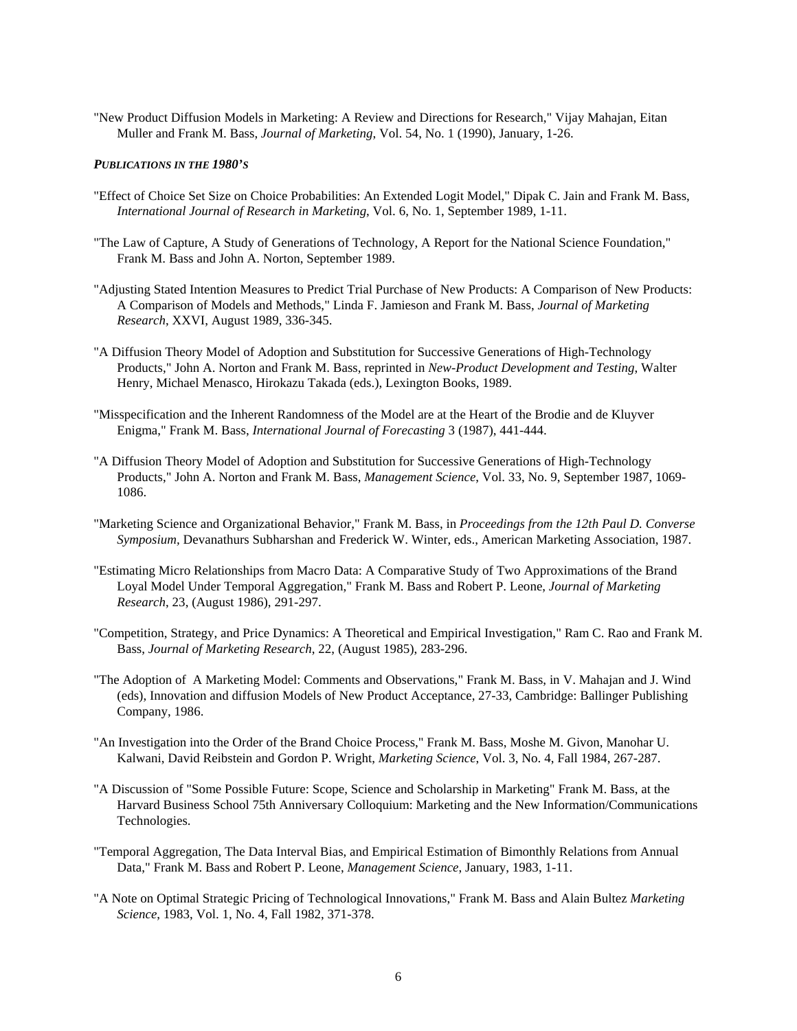"New Product Diffusion Models in Marketing: A Review and Directions for Research," Vijay Mahajan, Eitan Muller and Frank M. Bass, *Journal of Marketing*, Vol. 54, No. 1 (1990), January, 1-26.

### *PUBLICATIONS IN THE 1980'S*

- "Effect of Choice Set Size on Choice Probabilities: An Extended Logit Model," Dipak C. Jain and Frank M. Bass, *International Journal of Research in Marketing*, Vol. 6, No. 1, September 1989, 1-11.
- "The Law of Capture, A Study of Generations of Technology, A Report for the National Science Foundation," Frank M. Bass and John A. Norton, September 1989.
- "Adjusting Stated Intention Measures to Predict Trial Purchase of New Products: A Comparison of New Products: A Comparison of Models and Methods," Linda F. Jamieson and Frank M. Bass, *Journal of Marketing Research*, XXVI, August 1989, 336-345.
- "A Diffusion Theory Model of Adoption and Substitution for Successive Generations of High-Technology Products," John A. Norton and Frank M. Bass, reprinted in *New-Product Development and Testing*, Walter Henry, Michael Menasco, Hirokazu Takada (eds.), Lexington Books, 1989.
- "Misspecification and the Inherent Randomness of the Model are at the Heart of the Brodie and de Kluyver Enigma," Frank M. Bass, *International Journal of Forecasting* 3 (1987), 441-444.
- "A Diffusion Theory Model of Adoption and Substitution for Successive Generations of High-Technology Products," John A. Norton and Frank M. Bass, *Management Science*, Vol. 33, No. 9, September 1987, 1069- 1086.
- "Marketing Science and Organizational Behavior," Frank M. Bass, in *Proceedings from the 12th Paul D. Converse Symposium,* Devanathurs Subharshan and Frederick W. Winter, eds., American Marketing Association, 1987.
- "Estimating Micro Relationships from Macro Data: A Comparative Study of Two Approximations of the Brand Loyal Model Under Temporal Aggregation," Frank M. Bass and Robert P. Leone, *Journal of Marketing Research*, 23, (August 1986), 291-297.
- "Competition, Strategy, and Price Dynamics: A Theoretical and Empirical Investigation," Ram C. Rao and Frank M. Bass, *Journal of Marketing Research*, 22, (August 1985), 283-296.
- "The Adoption of A Marketing Model: Comments and Observations," Frank M. Bass, in V. Mahajan and J. Wind (eds), Innovation and diffusion Models of New Product Acceptance, 27-33, Cambridge: Ballinger Publishing Company, 1986.
- "An Investigation into the Order of the Brand Choice Process," Frank M. Bass, Moshe M. Givon, Manohar U. Kalwani, David Reibstein and Gordon P. Wright, *Marketing Science*, Vol. 3, No. 4, Fall 1984, 267-287.
- "A Discussion of "Some Possible Future: Scope, Science and Scholarship in Marketing" Frank M. Bass, at the Harvard Business School 75th Anniversary Colloquium: Marketing and the New Information/Communications Technologies.
- "Temporal Aggregation, The Data Interval Bias, and Empirical Estimation of Bimonthly Relations from Annual Data," Frank M. Bass and Robert P. Leone, *Management Science*, January, 1983, 1-11.
- "A Note on Optimal Strategic Pricing of Technological Innovations," Frank M. Bass and Alain Bultez *Marketing Science*, 1983, Vol. 1, No. 4, Fall 1982, 371-378.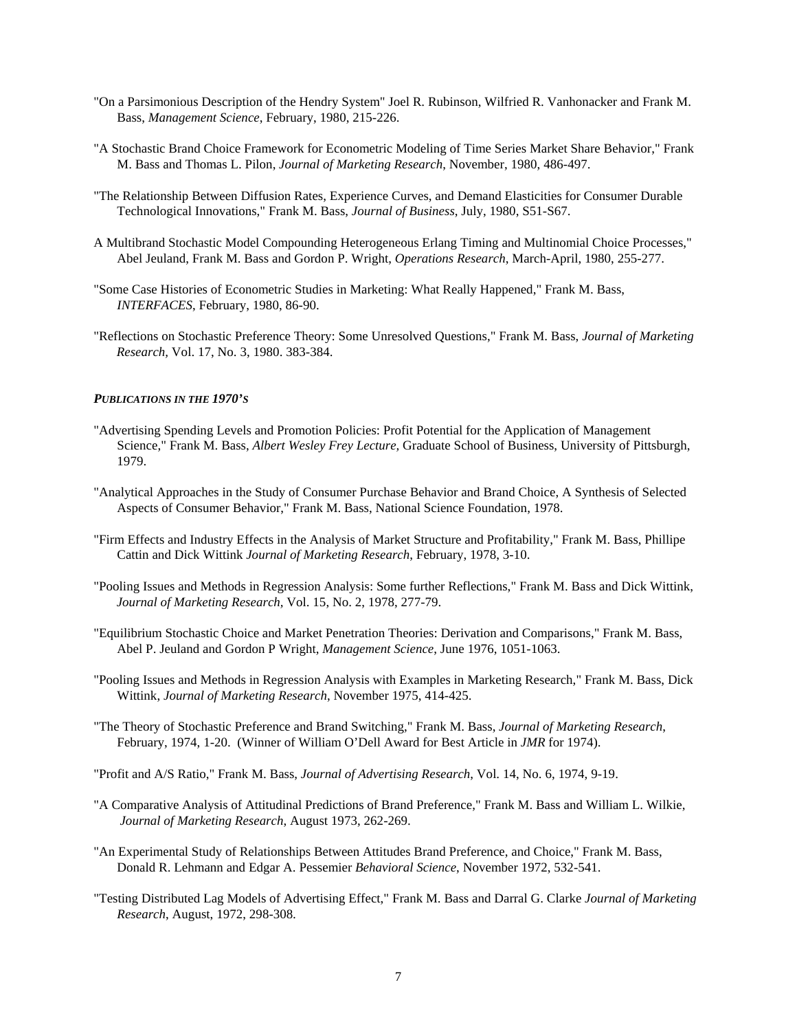- "On a Parsimonious Description of the Hendry System" Joel R. Rubinson, Wilfried R. Vanhonacker and Frank M. Bass, *Management Science*, February, 1980, 215-226.
- "A Stochastic Brand Choice Framework for Econometric Modeling of Time Series Market Share Behavior," Frank M. Bass and Thomas L. Pilon, *Journal of Marketing Research*, November, 1980, 486-497.
- "The Relationship Between Diffusion Rates, Experience Curves, and Demand Elasticities for Consumer Durable Technological Innovations," Frank M. Bass, *Journal of Business*, July, 1980, S51-S67.
- A Multibrand Stochastic Model Compounding Heterogeneous Erlang Timing and Multinomial Choice Processes," Abel Jeuland, Frank M. Bass and Gordon P. Wright, *Operations Research*, March-April, 1980, 255-277.
- "Some Case Histories of Econometric Studies in Marketing: What Really Happened," Frank M. Bass, *INTERFACES*, February, 1980, 86-90.
- "Reflections on Stochastic Preference Theory: Some Unresolved Questions," Frank M. Bass, *Journal of Marketing Research,* Vol. 17, No. 3, 1980. 383-384.

#### *PUBLICATIONS IN THE 1970'S*

- "Advertising Spending Levels and Promotion Policies: Profit Potential for the Application of Management Science," Frank M. Bass, *Albert Wesley Frey Lecture,* Graduate School of Business, University of Pittsburgh, 1979.
- "Analytical Approaches in the Study of Consumer Purchase Behavior and Brand Choice, A Synthesis of Selected Aspects of Consumer Behavior," Frank M. Bass, National Science Foundation, 1978.
- "Firm Effects and Industry Effects in the Analysis of Market Structure and Profitability," Frank M. Bass, Phillipe Cattin and Dick Wittink *Journal of Marketing Research*, February, 1978, 3-10.
- "Pooling Issues and Methods in Regression Analysis: Some further Reflections," Frank M. Bass and Dick Wittink, *Journal of Marketing Research,* Vol. 15, No. 2, 1978, 277-79.
- "Equilibrium Stochastic Choice and Market Penetration Theories: Derivation and Comparisons," Frank M. Bass, Abel P. Jeuland and Gordon P Wright, *Management Science*, June 1976, 1051-1063.
- "Pooling Issues and Methods in Regression Analysis with Examples in Marketing Research," Frank M. Bass, Dick Wittink, *Journal of Marketing Research*, November 1975, 414-425.
- "The Theory of Stochastic Preference and Brand Switching," Frank M. Bass, *Journal of Marketing Research*, February, 1974, 1-20. (Winner of William O'Dell Award for Best Article in *JMR* for 1974).
- "Profit and A/S Ratio," Frank M. Bass, *Journal of Advertising Research*, Vol. 14, No. 6, 1974, 9-19.
- "A Comparative Analysis of Attitudinal Predictions of Brand Preference," Frank M. Bass and William L. Wilkie, *Journal of Marketing Research*, August 1973, 262-269.
- "An Experimental Study of Relationships Between Attitudes Brand Preference, and Choice," Frank M. Bass, Donald R. Lehmann and Edgar A. Pessemier *Behavioral Science*, November 1972, 532-541.
- "Testing Distributed Lag Models of Advertising Effect," Frank M. Bass and Darral G. Clarke *Journal of Marketing Research*, August, 1972, 298-308*.*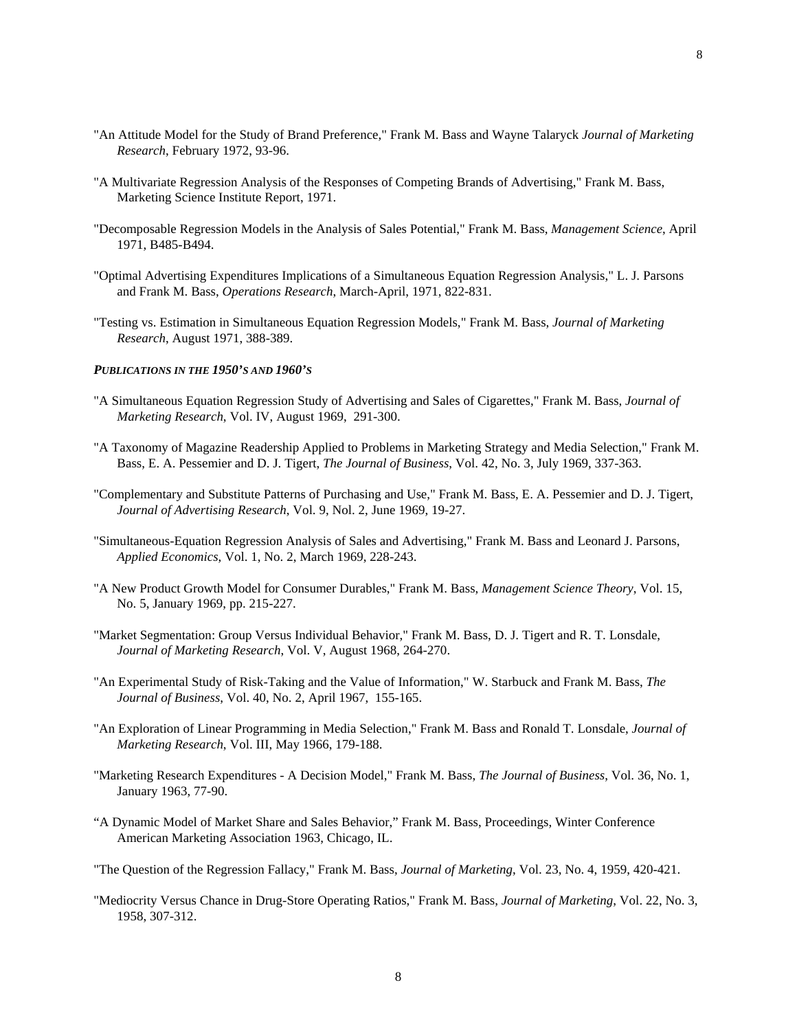- "An Attitude Model for the Study of Brand Preference," Frank M. Bass and Wayne Talaryck *Journal of Marketing Research*, February 1972, 93-96.
- "A Multivariate Regression Analysis of the Responses of Competing Brands of Advertising," Frank M. Bass, Marketing Science Institute Report, 1971.
- "Decomposable Regression Models in the Analysis of Sales Potential," Frank M. Bass, *Management Science*, April 1971, B485-B494.
- "Optimal Advertising Expenditures Implications of a Simultaneous Equation Regression Analysis," L. J. Parsons and Frank M. Bass, *Operations Research*, March-April, 1971, 822-831.
- "Testing vs. Estimation in Simultaneous Equation Regression Models," Frank M. Bass, *Journal of Marketing Research*, August 1971, 388-389.

#### *PUBLICATIONS IN THE 1950'S AND 1960'S*

- "A Simultaneous Equation Regression Study of Advertising and Sales of Cigarettes," Frank M. Bass, *Journal of Marketing Research*, Vol. IV, August 1969, 291-300.
- "A Taxonomy of Magazine Readership Applied to Problems in Marketing Strategy and Media Selection," Frank M. Bass, E. A. Pessemier and D. J. Tigert, *The Journal of Business*, Vol. 42, No. 3, July 1969, 337-363.
- "Complementary and Substitute Patterns of Purchasing and Use," Frank M. Bass, E. A. Pessemier and D. J. Tigert, *Journal of Advertising Research*, Vol. 9, Nol. 2, June 1969, 19-27.
- "Simultaneous-Equation Regression Analysis of Sales and Advertising," Frank M. Bass and Leonard J. Parsons, *Applied Economics*, Vol. 1, No. 2, March 1969, 228-243.
- "A New Product Growth Model for Consumer Durables," Frank M. Bass, *Management Science Theory*, Vol. 15, No. 5, January 1969, pp. 215-227.
- "Market Segmentation: Group Versus Individual Behavior," Frank M. Bass, D. J. Tigert and R. T. Lonsdale, *Journal of Marketing Research*, Vol. V, August 1968, 264-270.
- "An Experimental Study of Risk-Taking and the Value of Information," W. Starbuck and Frank M. Bass, *The Journal of Business*, Vol. 40, No. 2, April 1967, 155-165.
- "An Exploration of Linear Programming in Media Selection," Frank M. Bass and Ronald T. Lonsdale, *Journal of Marketing Research*, Vol. III, May 1966, 179-188.
- "Marketing Research Expenditures A Decision Model," Frank M. Bass, *The Journal of Business*, Vol. 36, No. 1, January 1963, 77-90.
- "A Dynamic Model of Market Share and Sales Behavior," Frank M. Bass, Proceedings, Winter Conference American Marketing Association 1963, Chicago, IL.
- "The Question of the Regression Fallacy," Frank M. Bass, *Journal of Marketing*, Vol. 23, No. 4, 1959, 420-421.
- "Mediocrity Versus Chance in Drug-Store Operating Ratios," Frank M. Bass, *Journal of Marketing*, Vol. 22, No. 3, 1958, 307-312.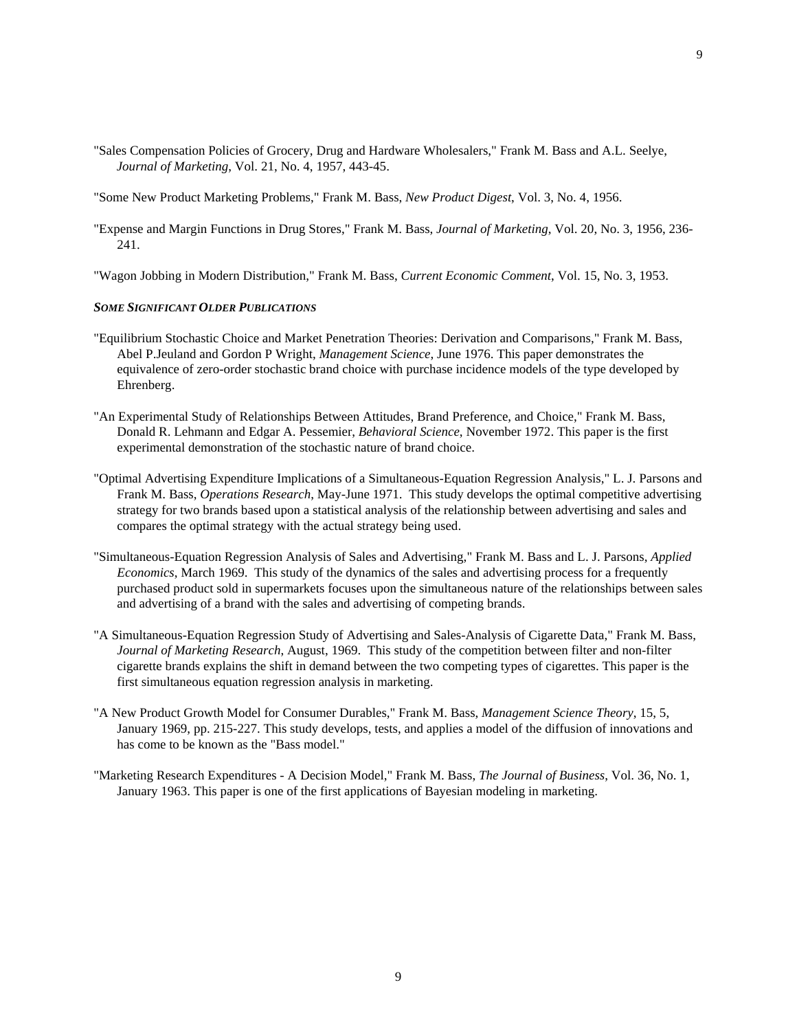"Sales Compensation Policies of Grocery, Drug and Hardware Wholesalers," Frank M. Bass and A.L. Seelye, *Journal of Marketing*, Vol. 21, No. 4, 1957, 443-45.

"Some New Product Marketing Problems," Frank M. Bass, *New Product Digest*, Vol. 3, No. 4, 1956.

"Expense and Margin Functions in Drug Stores," Frank M. Bass, *Journal of Marketing*, Vol. 20, No. 3, 1956, 236- 241.

"Wagon Jobbing in Modern Distribution," Frank M. Bass, *Current Economic Comment*, Vol. 15, No. 3, 1953.

### *SOME SIGNIFICANT OLDER PUBLICATIONS*

- "Equilibrium Stochastic Choice and Market Penetration Theories: Derivation and Comparisons," Frank M. Bass, Abel P.Jeuland and Gordon P Wright, *Management Science*, June 1976. This paper demonstrates the equivalence of zero-order stochastic brand choice with purchase incidence models of the type developed by Ehrenberg.
- "An Experimental Study of Relationships Between Attitudes, Brand Preference, and Choice," Frank M. Bass, Donald R. Lehmann and Edgar A. Pessemier, *Behavioral Science*, November 1972. This paper is the first experimental demonstration of the stochastic nature of brand choice.
- "Optimal Advertising Expenditure Implications of a Simultaneous-Equation Regression Analysis," L. J. Parsons and Frank M. Bass, *Operations Research*, May-June 1971. This study develops the optimal competitive advertising strategy for two brands based upon a statistical analysis of the relationship between advertising and sales and compares the optimal strategy with the actual strategy being used.
- "Simultaneous-Equation Regression Analysis of Sales and Advertising," Frank M. Bass and L. J. Parsons, *Applied Economics*, March 1969. This study of the dynamics of the sales and advertising process for a frequently purchased product sold in supermarkets focuses upon the simultaneous nature of the relationships between sales and advertising of a brand with the sales and advertising of competing brands.
- "A Simultaneous-Equation Regression Study of Advertising and Sales-Analysis of Cigarette Data," Frank M. Bass, *Journal of Marketing Research*, August, 1969. This study of the competition between filter and non-filter cigarette brands explains the shift in demand between the two competing types of cigarettes. This paper is the first simultaneous equation regression analysis in marketing.
- "A New Product Growth Model for Consumer Durables," Frank M. Bass, *Management Science Theory*, 15, 5, January 1969, pp. 215-227. This study develops, tests, and applies a model of the diffusion of innovations and has come to be known as the "Bass model."
- "Marketing Research Expenditures A Decision Model," Frank M. Bass, *The Journal of Business*, Vol. 36, No. 1, January 1963. This paper is one of the first applications of Bayesian modeling in marketing.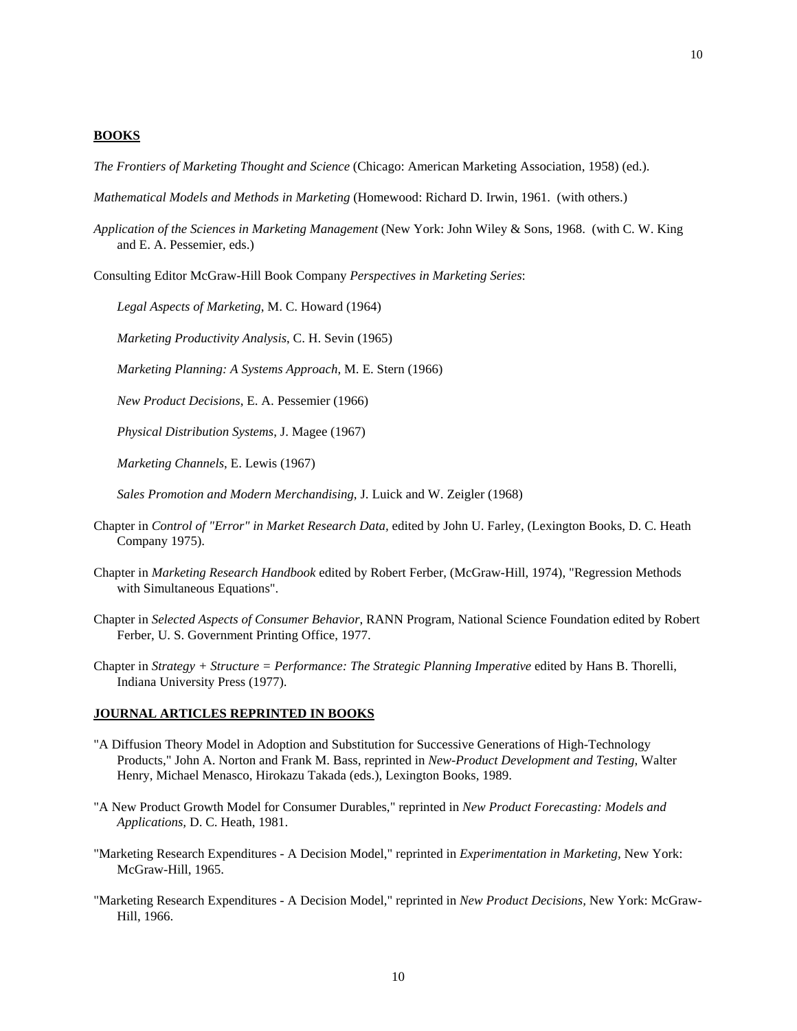### **BOOKS**

*The Frontiers of Marketing Thought and Science* (Chicago: American Marketing Association, 1958) (ed.).

*Mathematical Models and Methods in Marketing* (Homewood: Richard D. Irwin, 1961. (with others.)

*Application of the Sciences in Marketing Management* (New York: John Wiley & Sons, 1968. (with C. W. King and E. A. Pessemier, eds.)

Consulting Editor McGraw-Hill Book Company *Perspectives in Marketing Series*:

*Legal Aspects of Marketing*, M. C. Howard (1964)

*Marketing Productivity Analysis*, C. H. Sevin (1965)

*Marketing Planning: A Systems Approach*, M. E. Stern (1966)

*New Product Decisions*, E. A. Pessemier (1966)

*Physical Distribution Systems*, J. Magee (1967)

*Marketing Channels*, E. Lewis (1967)

*Sales Promotion and Modern Merchandising*, J. Luick and W. Zeigler (1968)

- Chapter in *Control of "Error" in Market Research Data,* edited by John U. Farley, (Lexington Books, D. C. Heath Company 1975).
- Chapter in *Marketing Research Handbook* edited by Robert Ferber, (McGraw-Hill, 1974), "Regression Methods with Simultaneous Equations".
- Chapter in *Selected Aspects of Consumer Behavior*, RANN Program, National Science Foundation edited by Robert Ferber, U. S. Government Printing Office, 1977.

Chapter in *Strategy + Structure = Performance: The Strategic Planning Imperative* edited by Hans B. Thorelli, Indiana University Press (1977).

### **JOURNAL ARTICLES REPRINTED IN BOOKS**

- "A Diffusion Theory Model in Adoption and Substitution for Successive Generations of High-Technology Products," John A. Norton and Frank M. Bass, reprinted in *New-Product Development and Testing*, Walter Henry, Michael Menasco, Hirokazu Takada (eds.), Lexington Books, 1989.
- "A New Product Growth Model for Consumer Durables," reprinted in *New Product Forecasting: Models and Applications,* D. C. Heath, 1981.
- "Marketing Research Expenditures A Decision Model," reprinted in *Experimentation in Marketing,* New York: McGraw-Hill, 1965.
- "Marketing Research Expenditures A Decision Model," reprinted in *New Product Decisions,* New York: McGraw-Hill, 1966.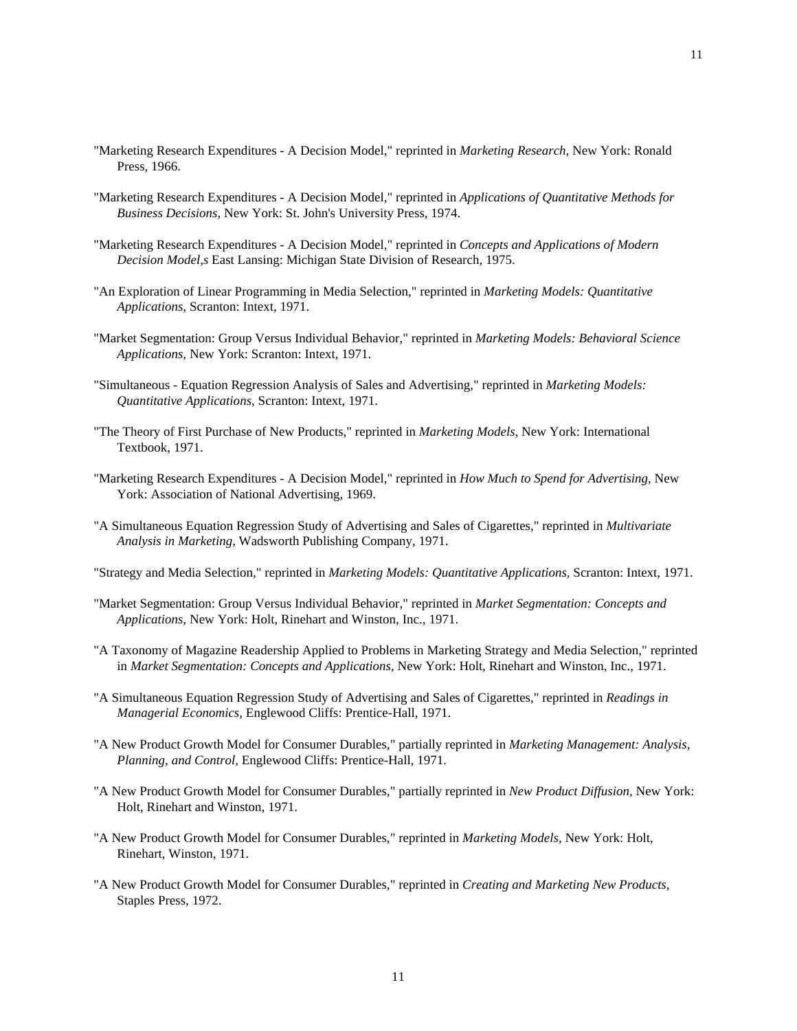- "Marketing Research Expenditures A Decision Model," reprinted in *Marketing Research,* New York: Ronald Press, 1966.
- "Marketing Research Expenditures A Decision Model," reprinted in *Applications of Quantitative Methods for Business Decisions,* New York: St. John's University Press, 1974.
- "Marketing Research Expenditures A Decision Model," reprinted in *Concepts and Applications of Modern Decision Model,s* East Lansing: Michigan State Division of Research, 1975.
- "An Exploration of Linear Programming in Media Selection," reprinted in *Marketing Models: Quantitative Applications,* Scranton: Intext, 1971.
- "Market Segmentation: Group Versus Individual Behavior," reprinted in *Marketing Models: Behavioral Science Applications,* New York: Scranton: Intext, 1971.
- "Simultaneous Equation Regression Analysis of Sales and Advertising," reprinted in *Marketing Models: Quantitative Applications,* Scranton: Intext, 1971.
- "The Theory of First Purchase of New Products," reprinted in *Marketing Models,* New York: International Textbook, 1971.
- "Marketing Research Expenditures A Decision Model," reprinted in *How Much to Spend for Advertising,* New York: Association of National Advertising, 1969.
- "A Simultaneous Equation Regression Study of Advertising and Sales of Cigarettes," reprinted in *Multivariate Analysis in Marketing,* Wadsworth Publishing Company, 1971.
- "Strategy and Media Selection," reprinted in *Marketing Models: Quantitative Applications,* Scranton: Intext, 1971.
- "Market Segmentation: Group Versus Individual Behavior," reprinted in *Market Segmentation: Concepts and Applications,* New York: Holt, Rinehart and Winston, Inc., 1971.
- "A Taxonomy of Magazine Readership Applied to Problems in Marketing Strategy and Media Selection," reprinted in *Market Segmentation: Concepts and Applications,* New York: Holt, Rinehart and Winston, Inc., 1971.
- "A Simultaneous Equation Regression Study of Advertising and Sales of Cigarettes," reprinted in *Readings in Managerial Economics,* Englewood Cliffs: Prentice-Hall, 1971.
- "A New Product Growth Model for Consumer Durables," partially reprinted in *Marketing Management: Analysis, Planning, and Control,* Englewood Cliffs: Prentice-Hall, 1971.
- "A New Product Growth Model for Consumer Durables," partially reprinted in *New Product Diffusion,* New York: Holt, Rinehart and Winston, 1971.
- "A New Product Growth Model for Consumer Durables," reprinted in *Marketing Models,* New York: Holt, Rinehart, Winston, 1971.
- "A New Product Growth Model for Consumer Durables," reprinted in *Creating and Marketing New Products*, Staples Press, 1972.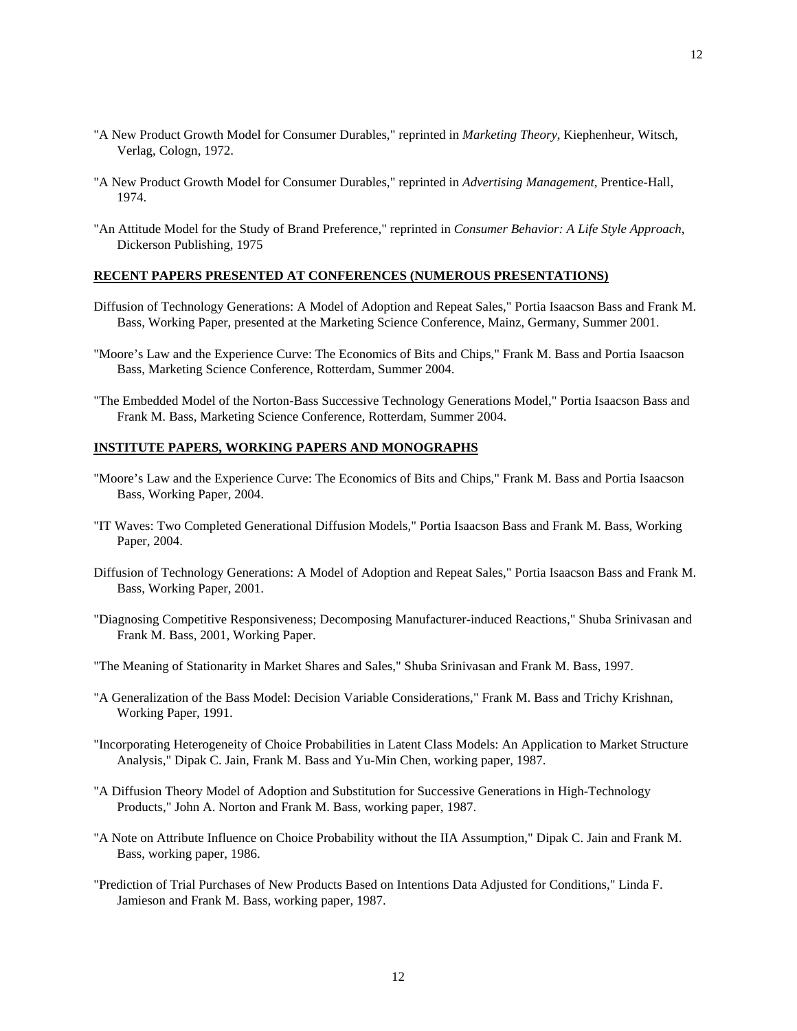- "A New Product Growth Model for Consumer Durables," reprinted in *Marketing Theory*, Kiephenheur, Witsch, Verlag, Cologn, 1972.
- "A New Product Growth Model for Consumer Durables," reprinted in *Advertising Management*, Prentice-Hall, 1974.
- "An Attitude Model for the Study of Brand Preference," reprinted in *Consumer Behavior: A Life Style Approach*, Dickerson Publishing, 1975

# **RECENT PAPERS PRESENTED AT CONFERENCES (NUMEROUS PRESENTATIONS)**

- Diffusion of Technology Generations: A Model of Adoption and Repeat Sales," Portia Isaacson Bass and Frank M. Bass, Working Paper, presented at the Marketing Science Conference, Mainz, Germany, Summer 2001.
- "Moore's Law and the Experience Curve: The Economics of Bits and Chips," Frank M. Bass and Portia Isaacson Bass, Marketing Science Conference, Rotterdam, Summer 2004.
- "The Embedded Model of the Norton-Bass Successive Technology Generations Model," Portia Isaacson Bass and Frank M. Bass, Marketing Science Conference, Rotterdam, Summer 2004.

# **INSTITUTE PAPERS, WORKING PAPERS AND MONOGRAPHS**

- "Moore's Law and the Experience Curve: The Economics of Bits and Chips," Frank M. Bass and Portia Isaacson Bass, Working Paper, 2004.
- "IT Waves: Two Completed Generational Diffusion Models," Portia Isaacson Bass and Frank M. Bass, Working Paper, 2004.
- Diffusion of Technology Generations: A Model of Adoption and Repeat Sales," Portia Isaacson Bass and Frank M. Bass, Working Paper, 2001.
- "Diagnosing Competitive Responsiveness; Decomposing Manufacturer-induced Reactions," Shuba Srinivasan and Frank M. Bass, 2001, Working Paper.
- "The Meaning of Stationarity in Market Shares and Sales," Shuba Srinivasan and Frank M. Bass, 1997.
- "A Generalization of the Bass Model: Decision Variable Considerations," Frank M. Bass and Trichy Krishnan, Working Paper, 1991.
- "Incorporating Heterogeneity of Choice Probabilities in Latent Class Models: An Application to Market Structure Analysis," Dipak C. Jain, Frank M. Bass and Yu-Min Chen, working paper, 1987.
- "A Diffusion Theory Model of Adoption and Substitution for Successive Generations in High-Technology Products," John A. Norton and Frank M. Bass, working paper, 1987.
- "A Note on Attribute Influence on Choice Probability without the IIA Assumption," Dipak C. Jain and Frank M. Bass, working paper, 1986.
- "Prediction of Trial Purchases of New Products Based on Intentions Data Adjusted for Conditions," Linda F. Jamieson and Frank M. Bass, working paper, 1987.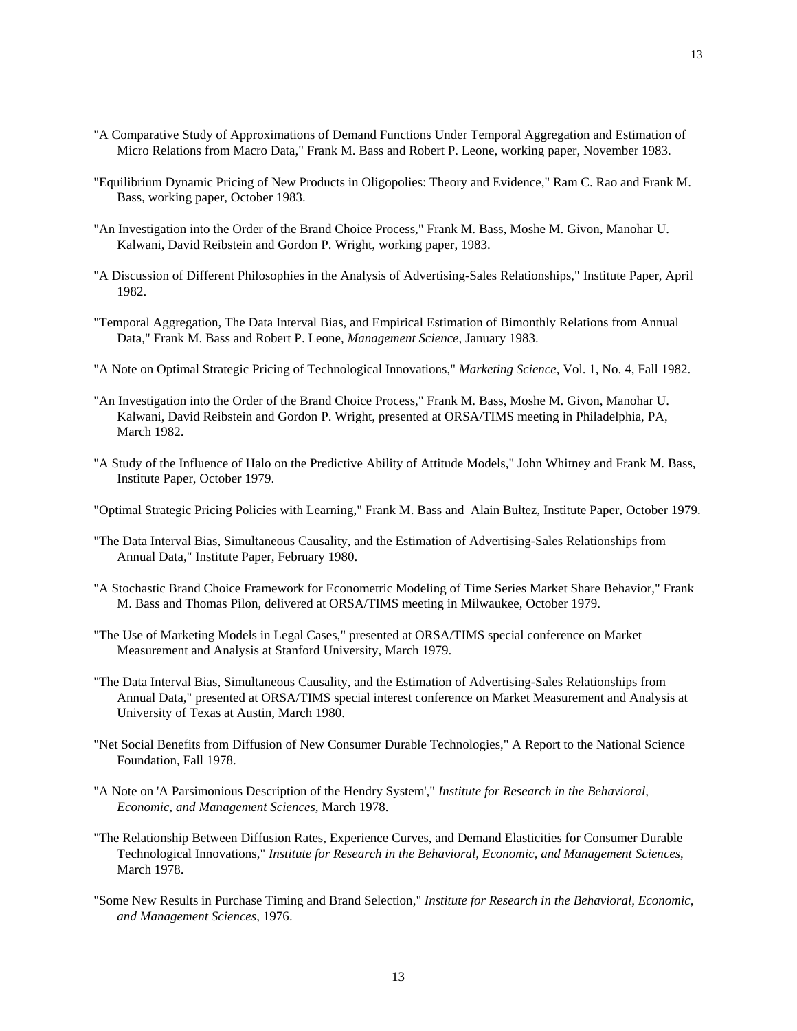- "A Comparative Study of Approximations of Demand Functions Under Temporal Aggregation and Estimation of Micro Relations from Macro Data," Frank M. Bass and Robert P. Leone, working paper, November 1983.
- "Equilibrium Dynamic Pricing of New Products in Oligopolies: Theory and Evidence," Ram C. Rao and Frank M. Bass, working paper, October 1983.
- "An Investigation into the Order of the Brand Choice Process," Frank M. Bass, Moshe M. Givon, Manohar U. Kalwani, David Reibstein and Gordon P. Wright, working paper, 1983.
- "A Discussion of Different Philosophies in the Analysis of Advertising-Sales Relationships," Institute Paper, April 1982.
- "Temporal Aggregation, The Data Interval Bias, and Empirical Estimation of Bimonthly Relations from Annual Data," Frank M. Bass and Robert P. Leone, *Management Science*, January 1983.
- "A Note on Optimal Strategic Pricing of Technological Innovations," *Marketing Science*, Vol. 1, No. 4, Fall 1982.
- "An Investigation into the Order of the Brand Choice Process," Frank M. Bass, Moshe M. Givon, Manohar U. Kalwani, David Reibstein and Gordon P. Wright, presented at ORSA/TIMS meeting in Philadelphia, PA, March 1982.
- "A Study of the Influence of Halo on the Predictive Ability of Attitude Models," John Whitney and Frank M. Bass, Institute Paper, October 1979.
- "Optimal Strategic Pricing Policies with Learning," Frank M. Bass and Alain Bultez, Institute Paper, October 1979.
- "The Data Interval Bias, Simultaneous Causality, and the Estimation of Advertising-Sales Relationships from Annual Data," Institute Paper, February 1980.
- "A Stochastic Brand Choice Framework for Econometric Modeling of Time Series Market Share Behavior," Frank M. Bass and Thomas Pilon, delivered at ORSA/TIMS meeting in Milwaukee, October 1979.
- "The Use of Marketing Models in Legal Cases," presented at ORSA/TIMS special conference on Market Measurement and Analysis at Stanford University, March 1979.
- "The Data Interval Bias, Simultaneous Causality, and the Estimation of Advertising-Sales Relationships from Annual Data," presented at ORSA/TIMS special interest conference on Market Measurement and Analysis at University of Texas at Austin, March 1980.
- "Net Social Benefits from Diffusion of New Consumer Durable Technologies," A Report to the National Science Foundation, Fall 1978.
- "A Note on 'A Parsimonious Description of the Hendry System'," *Institute for Research in the Behavioral, Economic, and Management Sciences*, March 1978.
- "The Relationship Between Diffusion Rates, Experience Curves, and Demand Elasticities for Consumer Durable Technological Innovations," *Institute for Research in the Behavioral, Economic, and Management Sciences*, March 1978.
- "Some New Results in Purchase Timing and Brand Selection," *Institute for Research in the Behavioral, Economic, and Management Sciences*, 1976.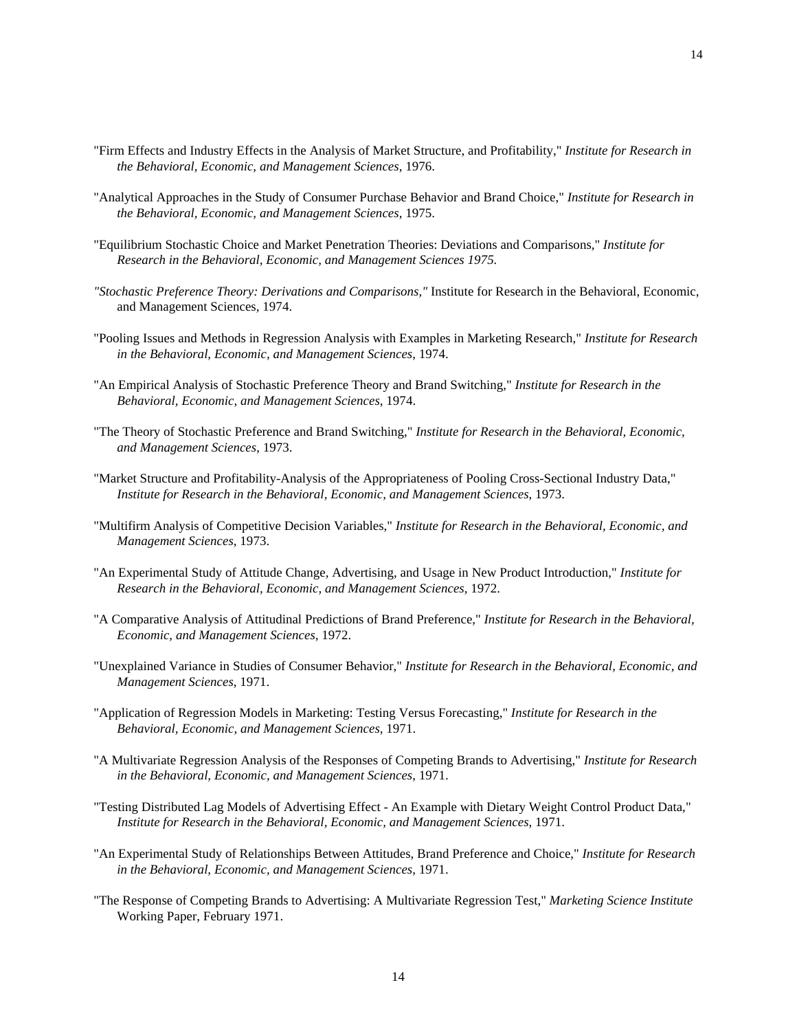- "Firm Effects and Industry Effects in the Analysis of Market Structure, and Profitability," *Institute for Research in the Behavioral, Economic, and Management Sciences*, 1976.
- "Analytical Approaches in the Study of Consumer Purchase Behavior and Brand Choice," *Institute for Research in the Behavioral, Economic, and Management Sciences*, 1975.
- "Equilibrium Stochastic Choice and Market Penetration Theories: Deviations and Comparisons," *Institute for Research in the Behavioral, Economic, and Management Sciences 1975.*
- *"Stochastic Preference Theory: Derivations and Comparisons,"* Institute for Research in the Behavioral, Economic, and Management Sciences, 1974.
- "Pooling Issues and Methods in Regression Analysis with Examples in Marketing Research," *Institute for Research in the Behavioral, Economic, and Management Sciences*, 1974.
- "An Empirical Analysis of Stochastic Preference Theory and Brand Switching," *Institute for Research in the Behavioral, Economic, and Management Sciences*, 1974.
- "The Theory of Stochastic Preference and Brand Switching," *Institute for Research in the Behavioral, Economic, and Management Sciences*, 1973.
- "Market Structure and Profitability-Analysis of the Appropriateness of Pooling Cross-Sectional Industry Data," *Institute for Research in the Behavioral, Economic, and Management Sciences*, 1973.
- "Multifirm Analysis of Competitive Decision Variables," *Institute for Research in the Behavioral, Economic, and Management Sciences*, 1973.
- "An Experimental Study of Attitude Change, Advertising, and Usage in New Product Introduction," *Institute for Research in the Behavioral, Economic, and Management Sciences*, 1972.
- "A Comparative Analysis of Attitudinal Predictions of Brand Preference," *Institute for Research in the Behavioral, Economic, and Management Sciences*, 1972.
- "Unexplained Variance in Studies of Consumer Behavior," *Institute for Research in the Behavioral, Economic, and Management Sciences*, 1971.
- "Application of Regression Models in Marketing: Testing Versus Forecasting," *Institute for Research in the Behavioral, Economic, and Management Sciences*, 1971.
- "A Multivariate Regression Analysis of the Responses of Competing Brands to Advertising," *Institute for Research in the Behavioral, Economic, and Management Sciences*, 1971.
- "Testing Distributed Lag Models of Advertising Effect An Example with Dietary Weight Control Product Data," *Institute for Research in the Behavioral, Economic, and Management Sciences*, 1971.
- "An Experimental Study of Relationships Between Attitudes, Brand Preference and Choice," *Institute for Research in the Behavioral, Economic, and Management Sciences*, 1971.
- "The Response of Competing Brands to Advertising: A Multivariate Regression Test," *Marketing Science Institute* Working Paper, February 1971.

14

14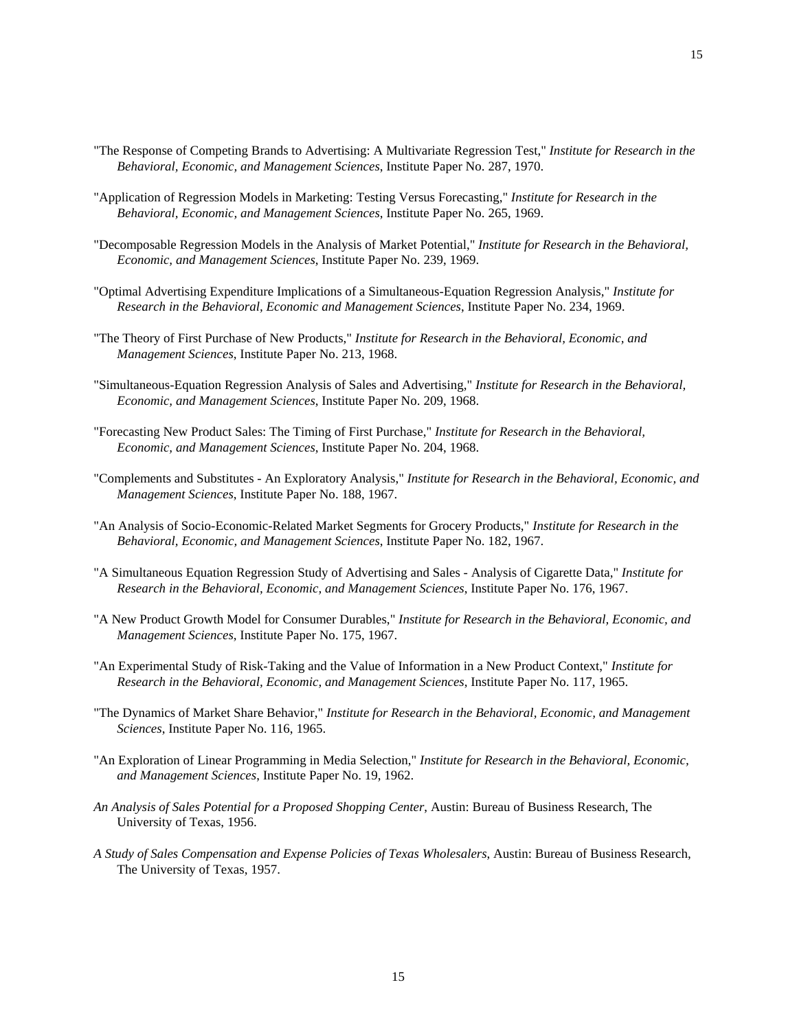- "The Response of Competing Brands to Advertising: A Multivariate Regression Test," *Institute for Research in the Behavioral, Economic, and Management Sciences*, Institute Paper No. 287, 1970.
- "Application of Regression Models in Marketing: Testing Versus Forecasting," *Institute for Research in the Behavioral, Economic, and Management Sciences*, Institute Paper No. 265, 1969.
- "Decomposable Regression Models in the Analysis of Market Potential," *Institute for Research in the Behavioral, Economic, and Management Sciences*, Institute Paper No. 239, 1969.
- "Optimal Advertising Expenditure Implications of a Simultaneous-Equation Regression Analysis," *Institute for Research in the Behavioral, Economic and Management Sciences*, Institute Paper No. 234, 1969.
- "The Theory of First Purchase of New Products," *Institute for Research in the Behavioral, Economic, and Management Sciences*, Institute Paper No. 213, 1968.
- "Simultaneous-Equation Regression Analysis of Sales and Advertising," *Institute for Research in the Behavioral, Economic, and Management Sciences*, Institute Paper No. 209, 1968.
- "Forecasting New Product Sales: The Timing of First Purchase," *Institute for Research in the Behavioral, Economic, and Management Sciences*, Institute Paper No. 204, 1968.
- "Complements and Substitutes An Exploratory Analysis," *Institute for Research in the Behavioral, Economic, and Management Sciences*, Institute Paper No. 188, 1967.
- "An Analysis of Socio-Economic-Related Market Segments for Grocery Products," *Institute for Research in the Behavioral, Economic, and Management Sciences*, Institute Paper No. 182, 1967.
- "A Simultaneous Equation Regression Study of Advertising and Sales Analysis of Cigarette Data," *Institute for Research in the Behavioral, Economic, and Management Sciences*, Institute Paper No. 176, 1967.
- "A New Product Growth Model for Consumer Durables," *Institute for Research in the Behavioral, Economic, and Management Sciences*, Institute Paper No. 175, 1967.
- "An Experimental Study of Risk-Taking and the Value of Information in a New Product Context," *Institute for Research in the Behavioral, Economic, and Management Sciences*, Institute Paper No. 117, 1965.
- "The Dynamics of Market Share Behavior," *Institute for Research in the Behavioral, Economic, and Management Sciences*, Institute Paper No. 116, 1965.
- "An Exploration of Linear Programming in Media Selection," *Institute for Research in the Behavioral, Economic, and Management Sciences*, Institute Paper No. 19, 1962.
- *An Analysis of Sales Potential for a Proposed Shopping Center*, Austin: Bureau of Business Research, The University of Texas, 1956.
- *A Study of Sales Compensation and Expense Policies of Texas Wholesalers*, Austin: Bureau of Business Research, The University of Texas, 1957.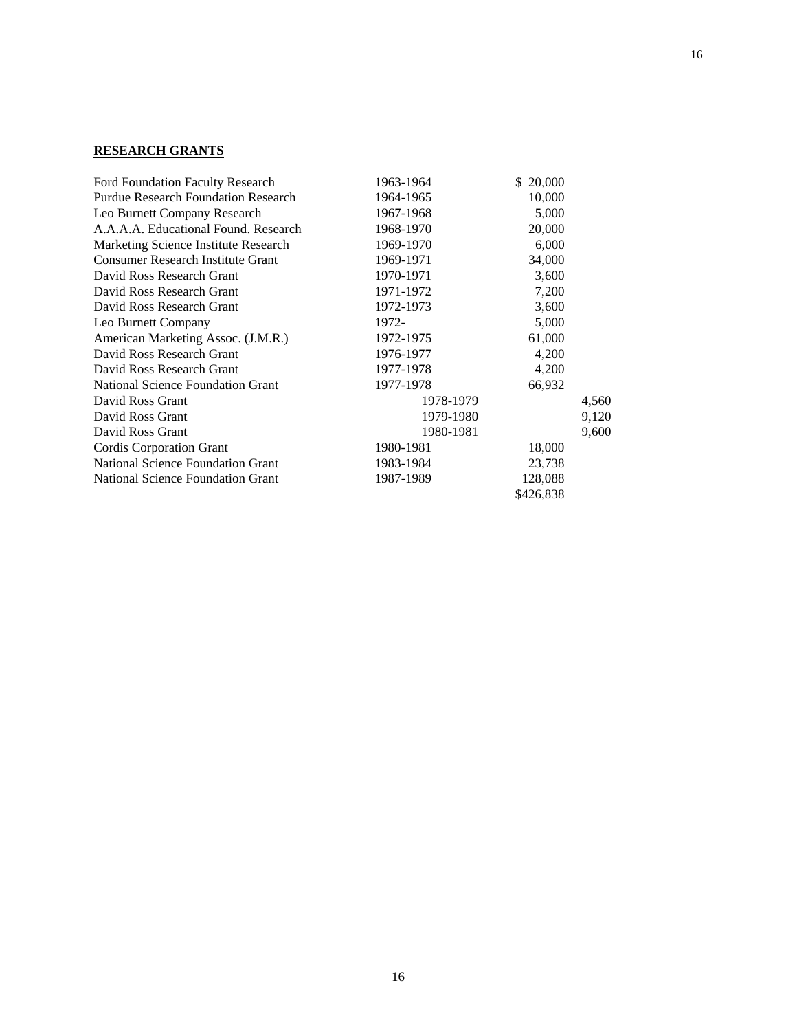# **RESEARCH GRANTS**

| <b>Ford Foundation Faculty Research</b>    | 1963-1964 | \$20,000  |       |
|--------------------------------------------|-----------|-----------|-------|
| <b>Purdue Research Foundation Research</b> | 1964-1965 | 10,000    |       |
| Leo Burnett Company Research               | 1967-1968 | 5,000     |       |
| A.A.A.A. Educational Found. Research       | 1968-1970 | 20,000    |       |
| Marketing Science Institute Research       | 1969-1970 | 6,000     |       |
| <b>Consumer Research Institute Grant</b>   | 1969-1971 | 34,000    |       |
| David Ross Research Grant                  | 1970-1971 | 3,600     |       |
| David Ross Research Grant                  | 1971-1972 | 7,200     |       |
| David Ross Research Grant                  | 1972-1973 | 3,600     |       |
| Leo Burnett Company                        | 1972-     | 5,000     |       |
| American Marketing Assoc. (J.M.R.)         | 1972-1975 | 61,000    |       |
| David Ross Research Grant                  | 1976-1977 | 4,200     |       |
| David Ross Research Grant                  | 1977-1978 | 4,200     |       |
| <b>National Science Foundation Grant</b>   | 1977-1978 | 66,932    |       |
| David Ross Grant                           | 1978-1979 |           | 4,560 |
| David Ross Grant                           | 1979-1980 |           | 9,120 |
| David Ross Grant                           | 1980-1981 |           | 9,600 |
| Cordis Corporation Grant                   | 1980-1981 | 18,000    |       |
| <b>National Science Foundation Grant</b>   | 1983-1984 | 23,738    |       |
| <b>National Science Foundation Grant</b>   | 1987-1989 | 128,088   |       |
|                                            |           | \$426,838 |       |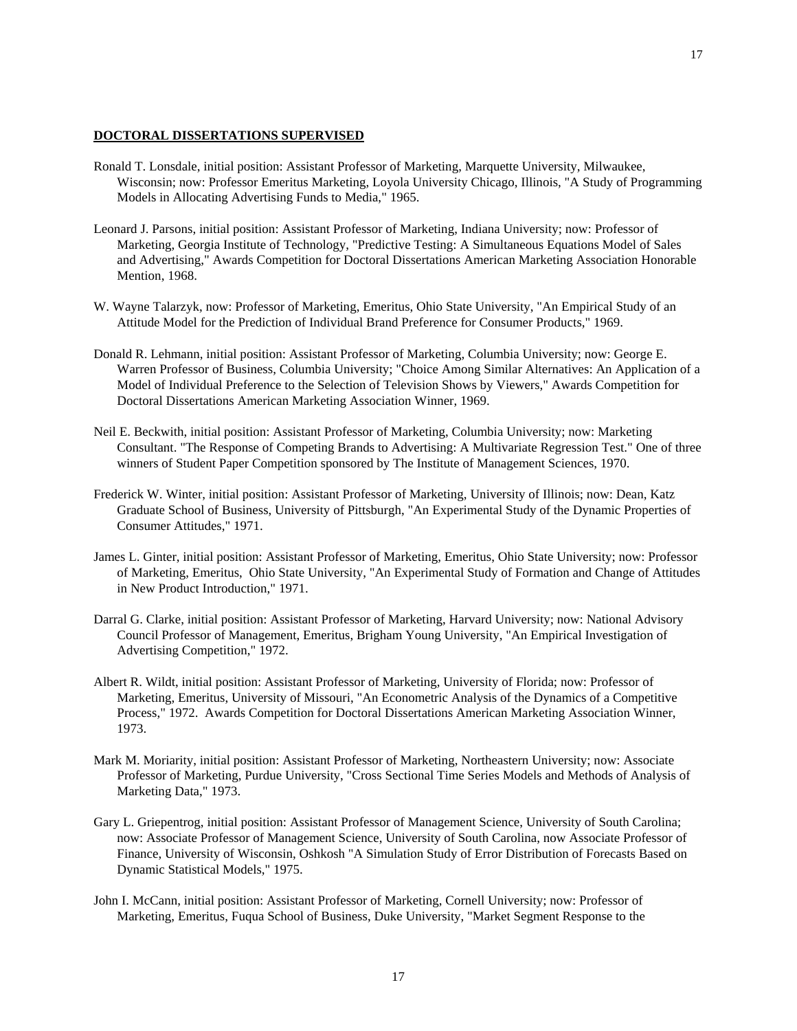### **DOCTORAL DISSERTATIONS SUPERVISED**

- Ronald T. Lonsdale, initial position: Assistant Professor of Marketing, Marquette University, Milwaukee, Wisconsin; now: Professor Emeritus Marketing, Loyola University Chicago, Illinois, "A Study of Programming Models in Allocating Advertising Funds to Media," 1965.
- Leonard J. Parsons, initial position: Assistant Professor of Marketing, Indiana University; now: Professor of Marketing, Georgia Institute of Technology, "Predictive Testing: A Simultaneous Equations Model of Sales and Advertising," Awards Competition for Doctoral Dissertations American Marketing Association Honorable Mention, 1968.
- W. Wayne Talarzyk, now: Professor of Marketing, Emeritus, Ohio State University, "An Empirical Study of an Attitude Model for the Prediction of Individual Brand Preference for Consumer Products," 1969.
- Donald R. Lehmann, initial position: Assistant Professor of Marketing, Columbia University; now: George E. Warren Professor of Business, Columbia University; "Choice Among Similar Alternatives: An Application of a Model of Individual Preference to the Selection of Television Shows by Viewers," Awards Competition for Doctoral Dissertations American Marketing Association Winner, 1969.
- Neil E. Beckwith, initial position: Assistant Professor of Marketing, Columbia University; now: Marketing Consultant. "The Response of Competing Brands to Advertising: A Multivariate Regression Test." One of three winners of Student Paper Competition sponsored by The Institute of Management Sciences, 1970.
- Frederick W. Winter, initial position: Assistant Professor of Marketing, University of Illinois; now: Dean, Katz Graduate School of Business, University of Pittsburgh, "An Experimental Study of the Dynamic Properties of Consumer Attitudes," 1971.
- James L. Ginter, initial position: Assistant Professor of Marketing, Emeritus, Ohio State University; now: Professor of Marketing, Emeritus, Ohio State University, "An Experimental Study of Formation and Change of Attitudes in New Product Introduction," 1971.
- Darral G. Clarke, initial position: Assistant Professor of Marketing, Harvard University; now: National Advisory Council Professor of Management, Emeritus, Brigham Young University, "An Empirical Investigation of Advertising Competition," 1972.
- Albert R. Wildt, initial position: Assistant Professor of Marketing, University of Florida; now: Professor of Marketing, Emeritus, University of Missouri, "An Econometric Analysis of the Dynamics of a Competitive Process," 1972. Awards Competition for Doctoral Dissertations American Marketing Association Winner, 1973.
- Mark M. Moriarity, initial position: Assistant Professor of Marketing, Northeastern University; now: Associate Professor of Marketing, Purdue University, "Cross Sectional Time Series Models and Methods of Analysis of Marketing Data," 1973.
- Gary L. Griepentrog, initial position: Assistant Professor of Management Science, University of South Carolina; now: Associate Professor of Management Science, University of South Carolina, now Associate Professor of Finance, University of Wisconsin, Oshkosh "A Simulation Study of Error Distribution of Forecasts Based on Dynamic Statistical Models," 1975.
- John I. McCann, initial position: Assistant Professor of Marketing, Cornell University; now: Professor of Marketing, Emeritus, Fuqua School of Business, Duke University, "Market Segment Response to the

17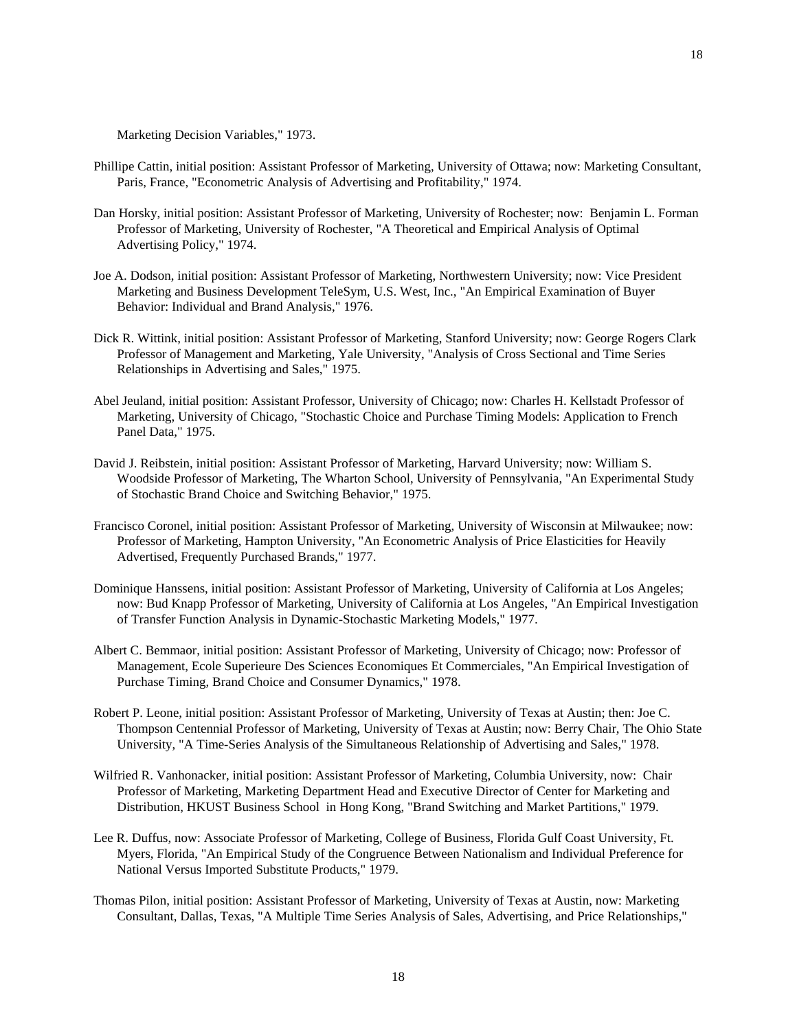Marketing Decision Variables," 1973.

- Phillipe Cattin, initial position: Assistant Professor of Marketing, University of Ottawa; now: Marketing Consultant, Paris, France, "Econometric Analysis of Advertising and Profitability," 1974.
- Dan Horsky, initial position: Assistant Professor of Marketing, University of Rochester; now: Benjamin L. Forman Professor of Marketing, University of Rochester, "A Theoretical and Empirical Analysis of Optimal Advertising Policy," 1974.
- Joe A. Dodson, initial position: Assistant Professor of Marketing, Northwestern University; now: Vice President Marketing and Business Development TeleSym, U.S. West, Inc., "An Empirical Examination of Buyer Behavior: Individual and Brand Analysis," 1976.
- Dick R. Wittink, initial position: Assistant Professor of Marketing, Stanford University; now: George Rogers Clark Professor of Management and Marketing, Yale University, "Analysis of Cross Sectional and Time Series Relationships in Advertising and Sales," 1975.
- Abel Jeuland, initial position: Assistant Professor, University of Chicago; now: Charles H. Kellstadt Professor of Marketing, University of Chicago, "Stochastic Choice and Purchase Timing Models: Application to French Panel Data," 1975.
- David J. Reibstein, initial position: Assistant Professor of Marketing, Harvard University; now: William S. Woodside Professor of Marketing, The Wharton School, University of Pennsylvania, "An Experimental Study of Stochastic Brand Choice and Switching Behavior," 1975.
- Francisco Coronel, initial position: Assistant Professor of Marketing, University of Wisconsin at Milwaukee; now: Professor of Marketing, Hampton University, "An Econometric Analysis of Price Elasticities for Heavily Advertised, Frequently Purchased Brands," 1977.
- Dominique Hanssens, initial position: Assistant Professor of Marketing, University of California at Los Angeles; now: Bud Knapp Professor of Marketing, University of California at Los Angeles, "An Empirical Investigation of Transfer Function Analysis in Dynamic-Stochastic Marketing Models," 1977.
- Albert C. Bemmaor, initial position: Assistant Professor of Marketing, University of Chicago; now: Professor of Management, Ecole Superieure Des Sciences Economiques Et Commerciales, "An Empirical Investigation of Purchase Timing, Brand Choice and Consumer Dynamics," 1978.
- Robert P. Leone, initial position: Assistant Professor of Marketing, University of Texas at Austin; then: Joe C. Thompson Centennial Professor of Marketing, University of Texas at Austin; now: Berry Chair, The Ohio State University, "A Time-Series Analysis of the Simultaneous Relationship of Advertising and Sales," 1978.
- Wilfried R. Vanhonacker, initial position: Assistant Professor of Marketing, Columbia University, now: Chair Professor of Marketing, Marketing Department Head and Executive Director of Center for Marketing and Distribution, HKUST Business School in Hong Kong, "Brand Switching and Market Partitions," 1979.
- Lee R. Duffus, now: Associate Professor of Marketing, College of Business, Florida Gulf Coast University, Ft. Myers, Florida, "An Empirical Study of the Congruence Between Nationalism and Individual Preference for National Versus Imported Substitute Products," 1979.
- Thomas Pilon, initial position: Assistant Professor of Marketing, University of Texas at Austin, now: Marketing Consultant, Dallas, Texas, "A Multiple Time Series Analysis of Sales, Advertising, and Price Relationships,"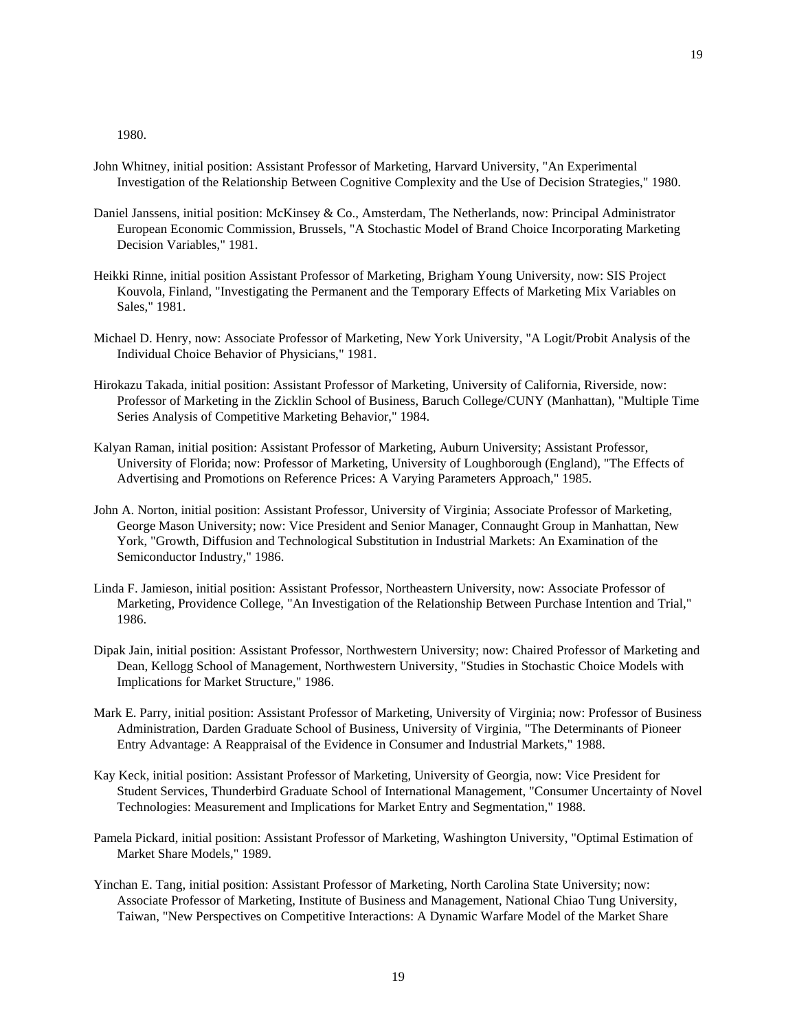1980.

- John Whitney, initial position: Assistant Professor of Marketing, Harvard University, "An Experimental Investigation of the Relationship Between Cognitive Complexity and the Use of Decision Strategies," 1980.
- Daniel Janssens, initial position: McKinsey & Co., Amsterdam, The Netherlands, now: Principal Administrator European Economic Commission, Brussels, "A Stochastic Model of Brand Choice Incorporating Marketing Decision Variables," 1981.
- Heikki Rinne, initial position Assistant Professor of Marketing, Brigham Young University, now: SIS Project Kouvola, Finland, "Investigating the Permanent and the Temporary Effects of Marketing Mix Variables on Sales," 1981.
- Michael D. Henry, now: Associate Professor of Marketing, New York University, "A Logit/Probit Analysis of the Individual Choice Behavior of Physicians," 1981.
- Hirokazu Takada, initial position: Assistant Professor of Marketing, University of California, Riverside, now: Professor of Marketing in the Zicklin School of Business, Baruch College/CUNY (Manhattan), "Multiple Time Series Analysis of Competitive Marketing Behavior," 1984.
- Kalyan Raman, initial position: Assistant Professor of Marketing, Auburn University; Assistant Professor, University of Florida; now: Professor of Marketing, University of Loughborough (England), "The Effects of Advertising and Promotions on Reference Prices: A Varying Parameters Approach," 1985.
- John A. Norton, initial position: Assistant Professor, University of Virginia; Associate Professor of Marketing, George Mason University; now: Vice President and Senior Manager, Connaught Group in Manhattan, New York, "Growth, Diffusion and Technological Substitution in Industrial Markets: An Examination of the Semiconductor Industry," 1986.
- Linda F. Jamieson, initial position: Assistant Professor, Northeastern University, now: Associate Professor of Marketing, Providence College, "An Investigation of the Relationship Between Purchase Intention and Trial," 1986.
- Dipak Jain, initial position: Assistant Professor, Northwestern University; now: Chaired Professor of Marketing and Dean, Kellogg School of Management, Northwestern University, "Studies in Stochastic Choice Models with Implications for Market Structure," 1986.
- Mark E. Parry, initial position: Assistant Professor of Marketing, University of Virginia; now: Professor of Business Administration, Darden Graduate School of Business, University of Virginia, "The Determinants of Pioneer Entry Advantage: A Reappraisal of the Evidence in Consumer and Industrial Markets," 1988.
- Kay Keck, initial position: Assistant Professor of Marketing, University of Georgia, now: Vice President for Student Services, Thunderbird Graduate School of International Management, "Consumer Uncertainty of Novel Technologies: Measurement and Implications for Market Entry and Segmentation," 1988.
- Pamela Pickard, initial position: Assistant Professor of Marketing, Washington University, "Optimal Estimation of Market Share Models," 1989.
- Yinchan E. Tang, initial position: Assistant Professor of Marketing, North Carolina State University; now: Associate Professor of Marketing, Institute of Business and Management, National Chiao Tung University, Taiwan, "New Perspectives on Competitive Interactions: A Dynamic Warfare Model of the Market Share

19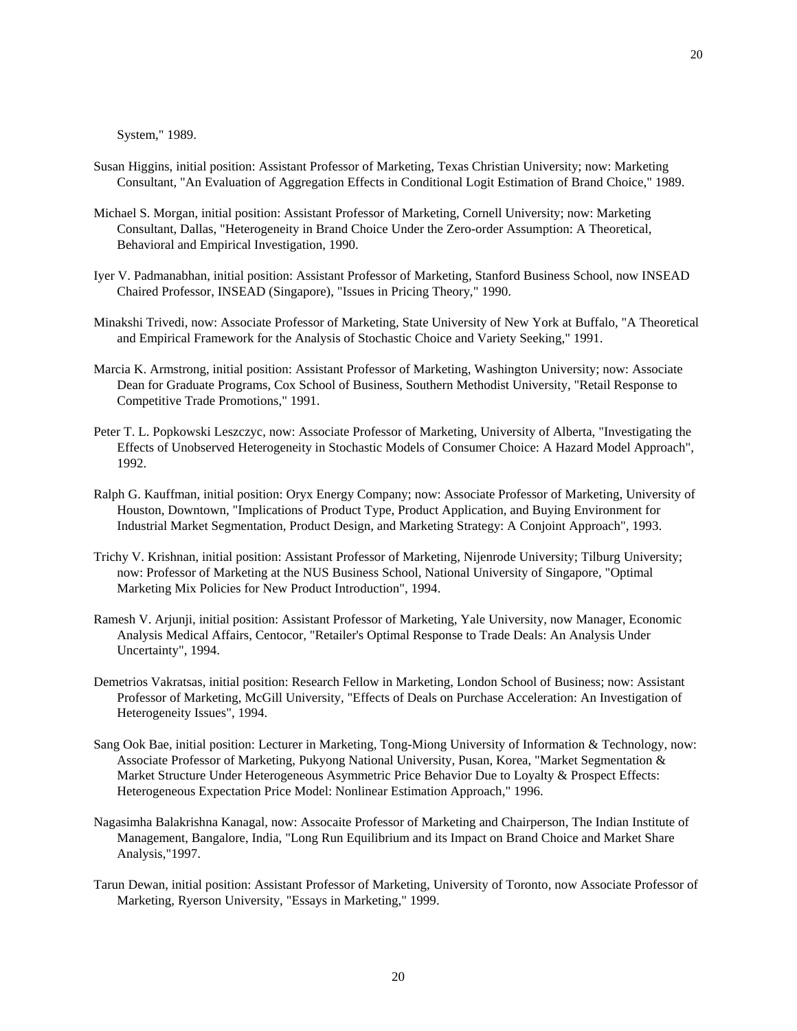20

System," 1989.

- Susan Higgins, initial position: Assistant Professor of Marketing, Texas Christian University; now: Marketing Consultant, "An Evaluation of Aggregation Effects in Conditional Logit Estimation of Brand Choice," 1989.
- Michael S. Morgan, initial position: Assistant Professor of Marketing, Cornell University; now: Marketing Consultant, Dallas, "Heterogeneity in Brand Choice Under the Zero-order Assumption: A Theoretical, Behavioral and Empirical Investigation, 1990.
- Iyer V. Padmanabhan, initial position: Assistant Professor of Marketing, Stanford Business School, now INSEAD Chaired Professor, INSEAD (Singapore), "Issues in Pricing Theory," 1990.
- Minakshi Trivedi, now: Associate Professor of Marketing, State University of New York at Buffalo, "A Theoretical and Empirical Framework for the Analysis of Stochastic Choice and Variety Seeking," 1991.
- Marcia K. Armstrong, initial position: Assistant Professor of Marketing, Washington University; now: Associate Dean for Graduate Programs, Cox School of Business, Southern Methodist University, "Retail Response to Competitive Trade Promotions," 1991.
- Peter T. L. Popkowski Leszczyc, now: Associate Professor of Marketing, University of Alberta, "Investigating the Effects of Unobserved Heterogeneity in Stochastic Models of Consumer Choice: A Hazard Model Approach", 1992.
- Ralph G. Kauffman, initial position: Oryx Energy Company; now: Associate Professor of Marketing, University of Houston, Downtown, "Implications of Product Type, Product Application, and Buying Environment for Industrial Market Segmentation, Product Design, and Marketing Strategy: A Conjoint Approach", 1993.
- Trichy V. Krishnan, initial position: Assistant Professor of Marketing, Nijenrode University; Tilburg University; now: Professor of Marketing at the NUS Business School, National University of Singapore, "Optimal Marketing Mix Policies for New Product Introduction", 1994.
- Ramesh V. Arjunji, initial position: Assistant Professor of Marketing, Yale University, now Manager, Economic Analysis Medical Affairs, Centocor, "Retailer's Optimal Response to Trade Deals: An Analysis Under Uncertainty", 1994.
- Demetrios Vakratsas, initial position: Research Fellow in Marketing, London School of Business; now: Assistant Professor of Marketing, McGill University, "Effects of Deals on Purchase Acceleration: An Investigation of Heterogeneity Issues", 1994.
- Sang Ook Bae, initial position: Lecturer in Marketing, Tong-Miong University of Information & Technology, now: Associate Professor of Marketing, Pukyong National University, Pusan, Korea, "Market Segmentation & Market Structure Under Heterogeneous Asymmetric Price Behavior Due to Loyalty & Prospect Effects: Heterogeneous Expectation Price Model: Nonlinear Estimation Approach," 1996.
- Nagasimha Balakrishna Kanagal, now: Assocaite Professor of Marketing and Chairperson, The Indian Institute of Management, Bangalore, India, "Long Run Equilibrium and its Impact on Brand Choice and Market Share Analysis,"1997.
- Tarun Dewan, initial position: Assistant Professor of Marketing, University of Toronto, now Associate Professor of Marketing, Ryerson University, "Essays in Marketing," 1999.